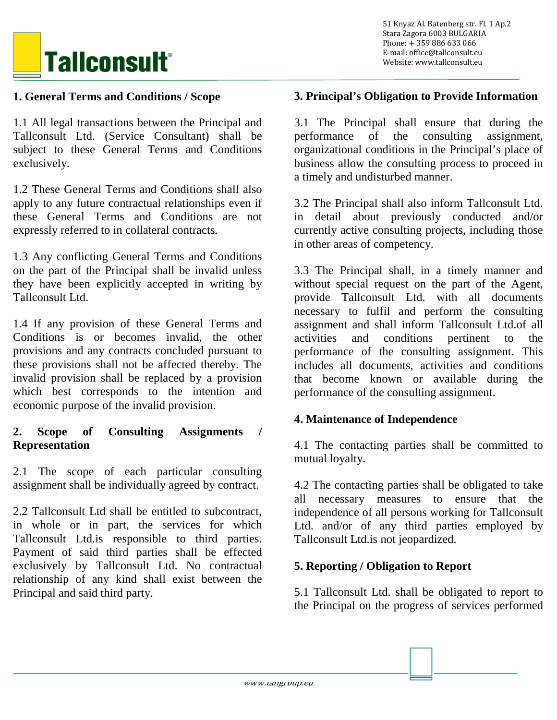

# **1. General Terms and Conditions / Scope**

1.1 All legal transactions between the Principal and Tallconsult Ltd. (Service Consultant) shall be subject to these General Terms and Conditions exclusively.

1.2 These General Terms and Conditions shall also apply to any future contractual relationships even if these General Terms and Conditions are not expressly referred to in collateral contracts.

1.3 Any conflicting General Terms and Conditions on the part of the Principal shall be invalid unless they have been explicitly accepted in writing by Tallconsult Ltd.

1.4 If any provision of these General Terms and Conditions is or becomes invalid, the other provisions and any contracts concluded pursuant to these provisions shall not be affected thereby. The invalid provision shall be replaced by a provision which best corresponds to the intention and economic purpose of the invalid provision.

#### **2. Scope of Consulting Assignments / Representation**

2.1 The scope of each particular consulting assignment shall be individually agreed by contract.

2.2 Tallconsult Ltd shall be entitled to subcontract, in whole or in part, the services for which Tallconsult Ltd.is responsible to third parties. Payment of said third parties shall be effected exclusively by Tallconsult Ltd. No contractual relationship of any kind shall exist between the Principal and said third party.

#### **3. Principal's Obligation to Provide Information**

3.1 The Principal shall ensure that during the performance of the consulting assignment, organizational conditions in the Principal's place of business allow the consulting process to proceed in a timely and undisturbed manner.

3.2 The Principal shall also inform Tallconsult Ltd. in detail about previously conducted and/or currently active consulting projects, including those in other areas of competency.

3.3 The Principal shall, in a timely manner and without special request on the part of the Agent, provide Tallconsult Ltd. with all documents necessary to fulfil and perform the consulting assignment and shall inform Tallconsult Ltd.of all activities and conditions pertinent to the performance of the consulting assignment. This includes all documents, activities and conditions that become known or available during the performance of the consulting assignment.

#### **4. Maintenance of Independence**

4.1 The contacting parties shall be committed to mutual loyalty.

4.2 The contacting parties shall be obligated to take all necessary measures to ensure that the independence of all persons working for Tallconsult Ltd. and/or of any third parties employed by Tallconsult Ltd.is not jeopardized.

#### **5. Reporting / Obligation to Report**

5.1 Tallconsult Ltd. shall be obligated to report to the Principal on the progress of services performed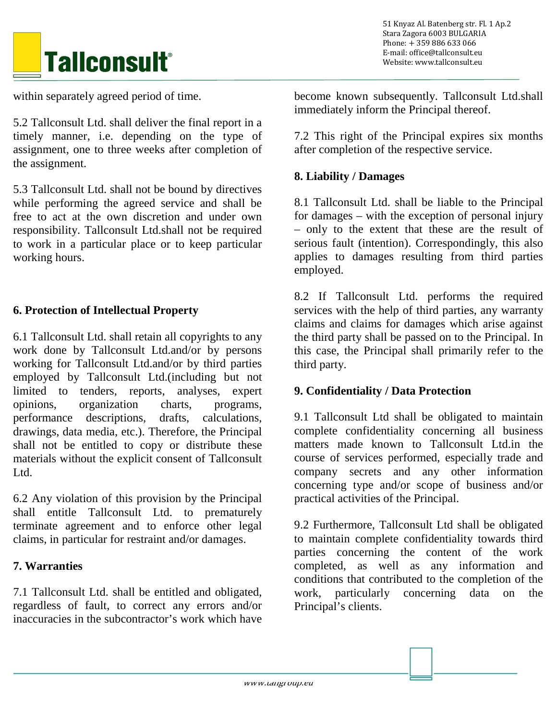# **Tallconsult®**

within separately agreed period of time.

5.2 Tallconsult Ltd. shall deliver the final report in a timely manner, i.e. depending on the type of assignment, one to three weeks after completion of the assignment.

5.3 Tallconsult Ltd. shall not be bound by directives while performing the agreed service and shall be free to act at the own discretion and under own responsibility. Tallconsult Ltd.shall not be required to work in a particular place or to keep particular working hours.

# **6. Protection of Intellectual Property**

6.1 Tallconsult Ltd. shall retain all copyrights to any work done by Tallconsult Ltd.and/or by persons working for Tallconsult Ltd.and/or by third parties employed by Tallconsult Ltd.(including but not limited to tenders, reports, analyses, expert opinions, organization charts, programs, performance descriptions, drafts, calculations, drawings, data media, etc.). Therefore, the Principal shall not be entitled to copy or distribute these materials without the explicit consent of Tallconsult Ltd.

6.2 Any violation of this provision by the Principal shall entitle Tallconsult Ltd. to prematurely terminate agreement and to enforce other legal claims, in particular for restraint and/or damages.

#### **7. Warranties**

7.1 Tallconsult Ltd. shall be entitled and obligated, regardless of fault, to correct any errors and/or inaccuracies in the subcontractor's work which have

 51 Knyaz Al. Batenberg str. Fl. 1 Ap.2 Stara Zagora 6003 BULGARIA Phone: + 359 886 633 066 E-mail: office@tallconsult.eu Website: www.tallconsult.eu

become known subsequently. Tallconsult Ltd.shall immediately inform the Principal thereof.

7.2 This right of the Principal expires six months after completion of the respective service.

#### **8. Liability / Damages**

8.1 Tallconsult Ltd. shall be liable to the Principal for damages – with the exception of personal injury – only to the extent that these are the result of serious fault (intention). Correspondingly, this also applies to damages resulting from third parties employed.

8.2 If Tallconsult Ltd. performs the required services with the help of third parties, any warranty claims and claims for damages which arise against the third party shall be passed on to the Principal. In this case, the Principal shall primarily refer to the third party.

#### **9. Confidentiality / Data Protection**

9.1 Tallconsult Ltd shall be obligated to maintain complete confidentiality concerning all business matters made known to Tallconsult Ltd.in the course of services performed, especially trade and company secrets and any other information concerning type and/or scope of business and/or practical activities of the Principal.

9.2 Furthermore, Tallconsult Ltd shall be obligated to maintain complete confidentiality towards third parties concerning the content of the work completed, as well as any information and conditions that contributed to the completion of the work, particularly concerning data on the Principal's clients.